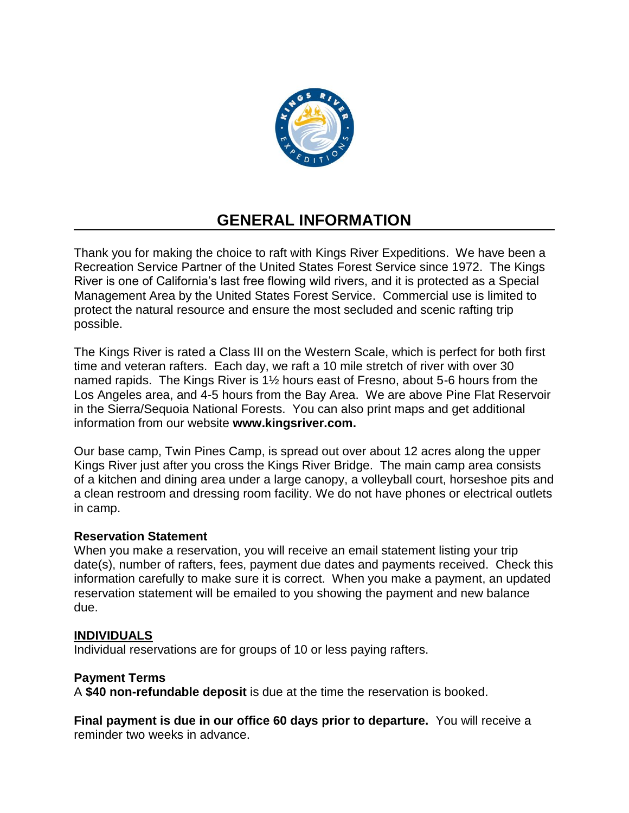

# **GENERAL INFORMATION**

Thank you for making the choice to raft with Kings River Expeditions. We have been a Recreation Service Partner of the United States Forest Service since 1972. The Kings River is one of California's last free flowing wild rivers, and it is protected as a Special Management Area by the United States Forest Service. Commercial use is limited to protect the natural resource and ensure the most secluded and scenic rafting trip possible.

The Kings River is rated a Class III on the Western Scale, which is perfect for both first time and veteran rafters. Each day, we raft a 10 mile stretch of river with over 30 named rapids. The Kings River is 1½ hours east of Fresno, about 5-6 hours from the Los Angeles area, and 4-5 hours from the Bay Area. We are above Pine Flat Reservoir in the Sierra/Sequoia National Forests. You can also print maps and get additional information from our website **www.kingsriver.com.**

Our base camp, Twin Pines Camp, is spread out over about 12 acres along the upper Kings River just after you cross the Kings River Bridge. The main camp area consists of a kitchen and dining area under a large canopy, a volleyball court, horseshoe pits and a clean restroom and dressing room facility. We do not have phones or electrical outlets in camp.

#### **Reservation Statement**

When you make a reservation, you will receive an email statement listing your trip date(s), number of rafters, fees, payment due dates and payments received. Check this information carefully to make sure it is correct. When you make a payment, an updated reservation statement will be emailed to you showing the payment and new balance due.

#### **INDIVIDUALS**

Individual reservations are for groups of 10 or less paying rafters.

#### **Payment Terms**

A **\$40 non-refundable deposit** is due at the time the reservation is booked.

**Final payment is due in our office 60 days prior to departure.** You will receive a reminder two weeks in advance.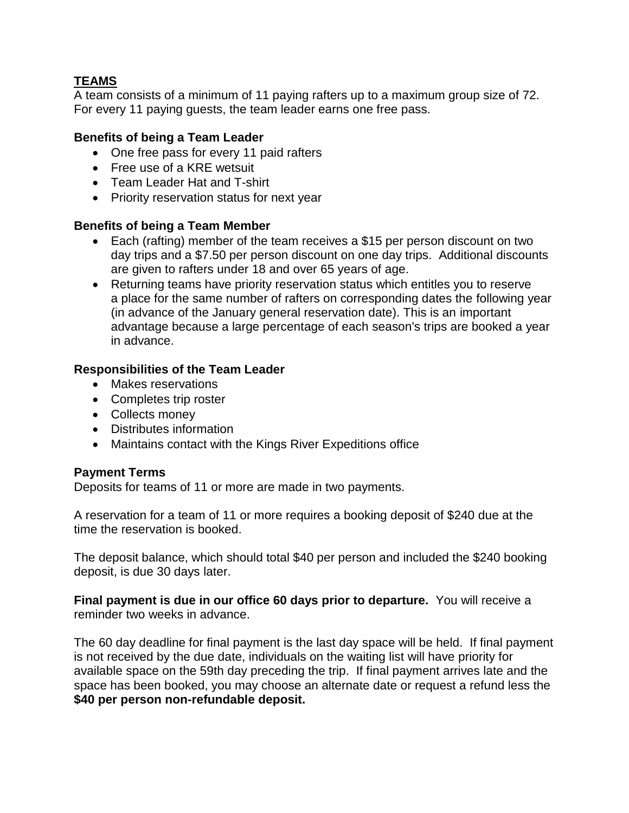# **TEAMS**

A team consists of a minimum of 11 paying rafters up to a maximum group size of 72. For every 11 paying guests, the team leader earns one free pass.

## **Benefits of being a Team Leader**

- One free pass for every 11 paid rafters
- Free use of a KRE wetsuit
- Team Leader Hat and T-shirt
- Priority reservation status for next year

#### **Benefits of being a Team Member**

- Each (rafting) member of the team receives a \$15 per person discount on two day trips and a \$7.50 per person discount on one day trips. Additional discounts are given to rafters under 18 and over 65 years of age.
- Returning teams have priority reservation status which entitles you to reserve a place for the same number of rafters on corresponding dates the following year (in advance of the January general reservation date). This is an important advantage because a large percentage of each season's trips are booked a year in advance.

## **Responsibilities of the Team Leader**

- Makes reservations
- Completes trip roster
- Collects money
- Distributes information
- Maintains contact with the Kings River Expeditions office

#### **Payment Terms**

Deposits for teams of 11 or more are made in two payments.

A reservation for a team of 11 or more requires a booking deposit of \$240 due at the time the reservation is booked.

The deposit balance, which should total \$40 per person and included the \$240 booking deposit, is due 30 days later.

**Final payment is due in our office 60 days prior to departure.** You will receive a reminder two weeks in advance.

The 60 day deadline for final payment is the last day space will be held. If final payment is not received by the due date, individuals on the waiting list will have priority for available space on the 59th day preceding the trip. If final payment arrives late and the space has been booked, you may choose an alternate date or request a refund less the **\$40 per person non-refundable deposit.**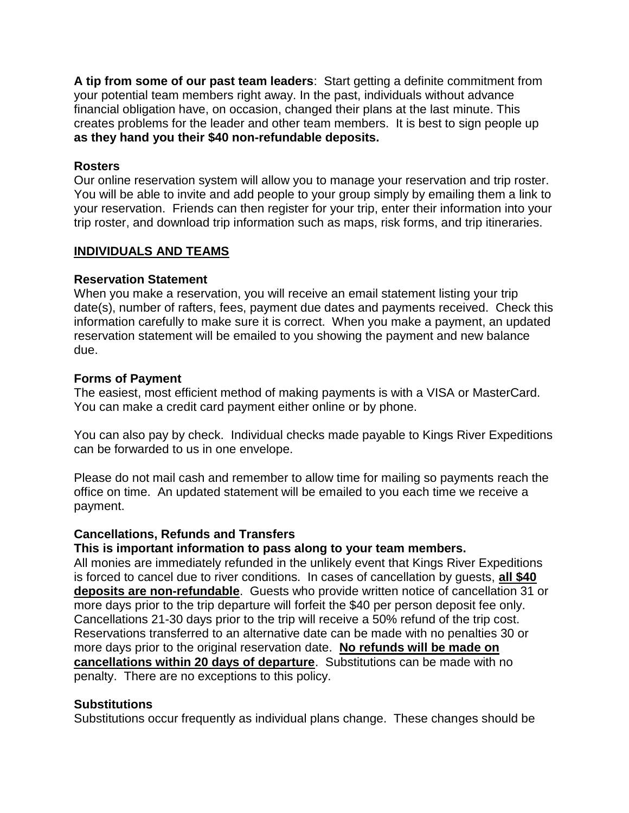**A tip from some of our past team leaders**: Start getting a definite commitment from your potential team members right away. In the past, individuals without advance financial obligation have, on occasion, changed their plans at the last minute. This creates problems for the leader and other team members. It is best to sign people up **as they hand you their \$40 non-refundable deposits.**

#### **Rosters**

Our online reservation system will allow you to manage your reservation and trip roster. You will be able to invite and add people to your group simply by emailing them a link to your reservation. Friends can then register for your trip, enter their information into your trip roster, and download trip information such as maps, risk forms, and trip itineraries.

#### **INDIVIDUALS AND TEAMS**

## **Reservation Statement**

When you make a reservation, you will receive an email statement listing your trip date(s), number of rafters, fees, payment due dates and payments received. Check this information carefully to make sure it is correct. When you make a payment, an updated reservation statement will be emailed to you showing the payment and new balance due.

#### **Forms of Payment**

The easiest, most efficient method of making payments is with a VISA or MasterCard. You can make a credit card payment either online or by phone.

You can also pay by check. Individual checks made payable to Kings River Expeditions can be forwarded to us in one envelope.

Please do not mail cash and remember to allow time for mailing so payments reach the office on time. An updated statement will be emailed to you each time we receive a payment.

## **Cancellations, Refunds and Transfers**

#### **This is important information to pass along to your team members.**

All monies are immediately refunded in the unlikely event that Kings River Expeditions is forced to cancel due to river conditions. In cases of cancellation by guests, **all \$40 deposits are non-refundable**. Guests who provide written notice of cancellation 31 or more days prior to the trip departure will forfeit the \$40 per person deposit fee only. Cancellations 21-30 days prior to the trip will receive a 50% refund of the trip cost. Reservations transferred to an alternative date can be made with no penalties 30 or more days prior to the original reservation date. **No refunds will be made on cancellations within 20 days of departure**. Substitutions can be made with no penalty. There are no exceptions to this policy.

## **Substitutions**

Substitutions occur frequently as individual plans change. These changes should be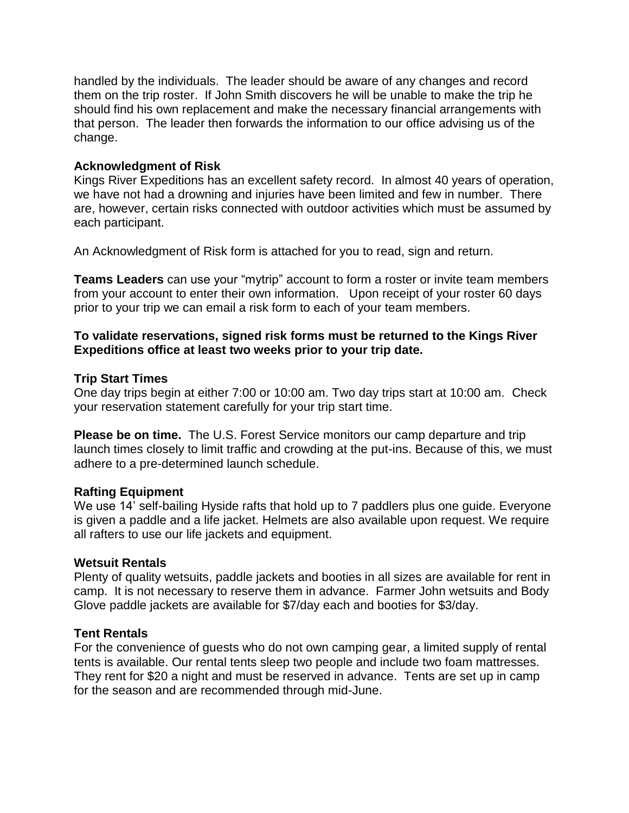handled by the individuals. The leader should be aware of any changes and record them on the trip roster. If John Smith discovers he will be unable to make the trip he should find his own replacement and make the necessary financial arrangements with that person. The leader then forwards the information to our office advising us of the change.

#### **Acknowledgment of Risk**

Kings River Expeditions has an excellent safety record. In almost 40 years of operation, we have not had a drowning and injuries have been limited and few in number. There are, however, certain risks connected with outdoor activities which must be assumed by each participant.

An Acknowledgment of Risk form is attached for you to read, sign and return.

**Teams Leaders** can use your "mytrip" account to form a roster or invite team members from your account to enter their own information. Upon receipt of your roster 60 days prior to your trip we can email a risk form to each of your team members.

#### **To validate reservations, signed risk forms must be returned to the Kings River Expeditions office at least two weeks prior to your trip date.**

## **Trip Start Times**

One day trips begin at either 7:00 or 10:00 am. Two day trips start at 10:00 am. Check your reservation statement carefully for your trip start time.

**Please be on time.** The U.S. Forest Service monitors our camp departure and trip launch times closely to limit traffic and crowding at the put-ins. Because of this, we must adhere to a pre-determined launch schedule.

#### **Rafting Equipment**

We use 14' self-bailing Hyside rafts that hold up to 7 paddlers plus one guide. Everyone is given a paddle and a life jacket. Helmets are also available upon request. We require all rafters to use our life jackets and equipment.

#### **Wetsuit Rentals**

Plenty of quality wetsuits, paddle jackets and booties in all sizes are available for rent in camp. It is not necessary to reserve them in advance. Farmer John wetsuits and Body Glove paddle jackets are available for \$7/day each and booties for \$3/day.

#### **Tent Rentals**

For the convenience of guests who do not own camping gear, a limited supply of rental tents is available. Our rental tents sleep two people and include two foam mattresses. They rent for \$20 a night and must be reserved in advance. Tents are set up in camp for the season and are recommended through mid-June.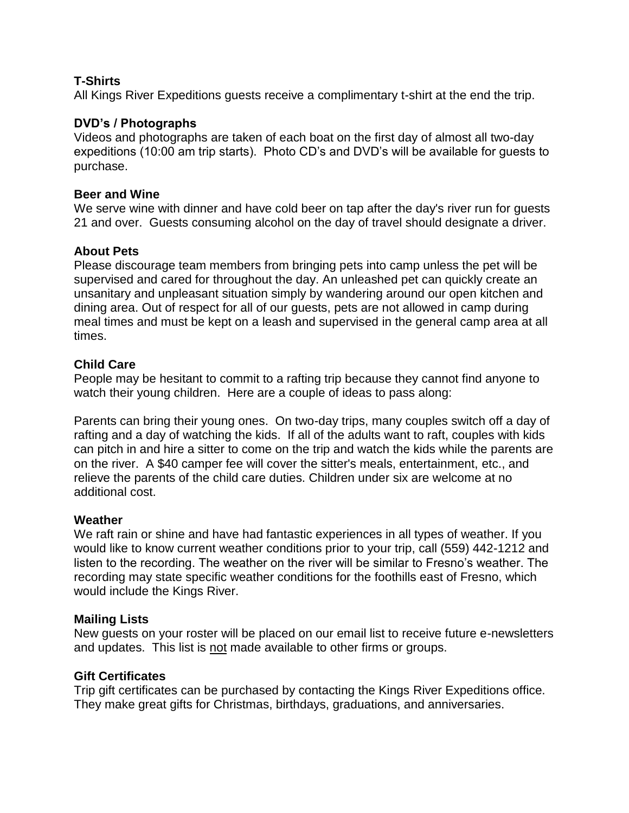## **T-Shirts**

All Kings River Expeditions guests receive a complimentary t-shirt at the end the trip.

#### **DVD's / Photographs**

Videos and photographs are taken of each boat on the first day of almost all two-day expeditions (10:00 am trip starts). Photo CD's and DVD's will be available for guests to purchase.

#### **Beer and Wine**

We serve wine with dinner and have cold beer on tap after the day's river run for guests 21 and over. Guests consuming alcohol on the day of travel should designate a driver.

## **About Pets**

Please discourage team members from bringing pets into camp unless the pet will be supervised and cared for throughout the day. An unleashed pet can quickly create an unsanitary and unpleasant situation simply by wandering around our open kitchen and dining area. Out of respect for all of our guests, pets are not allowed in camp during meal times and must be kept on a leash and supervised in the general camp area at all times.

## **Child Care**

People may be hesitant to commit to a rafting trip because they cannot find anyone to watch their young children. Here are a couple of ideas to pass along:

Parents can bring their young ones. On two-day trips, many couples switch off a day of rafting and a day of watching the kids. If all of the adults want to raft, couples with kids can pitch in and hire a sitter to come on the trip and watch the kids while the parents are on the river. A \$40 camper fee will cover the sitter's meals, entertainment, etc., and relieve the parents of the child care duties. Children under six are welcome at no additional cost.

#### **Weather**

We raft rain or shine and have had fantastic experiences in all types of weather. If you would like to know current weather conditions prior to your trip, call (559) 442-1212 and listen to the recording. The weather on the river will be similar to Fresno's weather. The recording may state specific weather conditions for the foothills east of Fresno, which would include the Kings River.

#### **Mailing Lists**

New guests on your roster will be placed on our email list to receive future e-newsletters and updates. This list is not made available to other firms or groups.

#### **Gift Certificates**

Trip gift certificates can be purchased by contacting the Kings River Expeditions office. They make great gifts for Christmas, birthdays, graduations, and anniversaries.